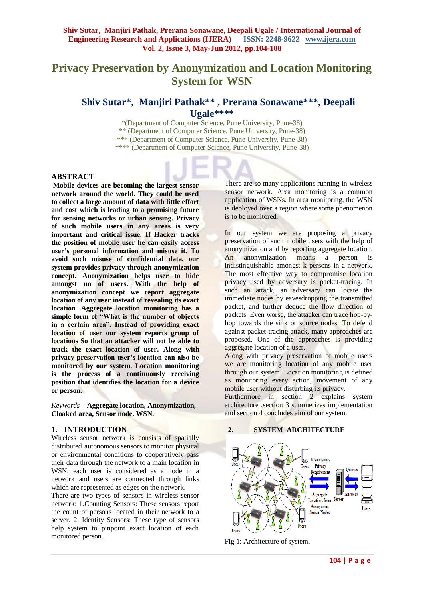# **Privacy Preservation by Anonymization and Location Monitoring System for WSN**

# **Shiv Sutar\*, Manjiri Pathak\*\* , Prerana Sonawane\*\*\* , Deepali Ugale\*\*\*\***

\*(Department of Computer Science, Pune University, Pune-38) \*\* (Department of Computer Science, Pune University, Pune-38) \*\*\* (Department of Computer Science, Pune University, Pune-38) \*\*\*\* (Department of Computer Science, Pune University, Pune-38)

# **ABSTRACT**

**Mobile devices are becoming the largest sensor network around the world. They could be used to collect a large amount of data with little effort and cost which is leading to a promising future for sensing networks or urban sensing. Privacy of such mobile users in any areas is very important and critical issue. If Hacker tracks the position of mobile user he can easily access user's personal information and misuse it. To avoid such misuse of confidential data, our system provides privacy through anonymization concept. Anonymization helps user to hide amongst no of users. With the help of anonymization concept we report aggregate location of any user instead of revealing its exact location .Aggregate location monitoring has a simple form of "What is the number of objects in a certain area". Instead of providing exact location of user our system reports group of locations So that an attacker will not be able to track the exact location of user. Along with privacy preservation user's location can also be monitored by our system. Location monitoring is the process of a continuously receiving position that identifies the location for a device or person.**

*Keywords* **– Aggregate location, Anonymization, Cloaked area, Sensor node, WSN.**

#### **1. INTRODUCTION**

Wireless sensor network is consists of spatially distributed autonomous sensors to monitor physical or environmental conditions to cooperatively pass their data through the network to a main location in WSN, each user is considered as a node in a network and users are connected through links which are represented as edges on the network.

There are two types of sensors in wireless sensor network: 1.Counting Sensors: These sensors report the count of persons located in their network to a server. 2. Identity Sensors: These type of sensors help system to pinpoint exact location of each monitored person.

There are so many applications running in wireless sensor network. Area monitoring is a common application of WSNs. In area monitoring, the WSN is deployed over a region where some phenomenon is to be monitored.

In our system we are proposing a privacy preservation of such mobile users with the help of anonymization and by reporting aggregate location. An anonymization means a person is indistinguishable amongst k persons in a network. The most effective way to compromise location privacy used by adversary is packet-tracing. In such an attack, an adversary can locate the immediate nodes by eavesdropping the transmitted packet, and further deduce the flow direction of packets. Even worse, the attacker can trace hop-byhop towards the sink or source nodes. To defend against packet-tracing attack, many approaches are proposed. One of the approaches is providing aggregate location of a user.

Along with privacy preservation of mobile users we are monitoring location of any mobile user through our system. Location monitoring is defined as monitoring every action, movement of any mobile user without disturbing its privacy.

Furthermore in section 2 explains system architecture ,section 3 summerizes implementation and section 4 concludes aim of our system.

#### **2. SYSTEM ARCHITECTURE**



Fig 1: Architecture of system.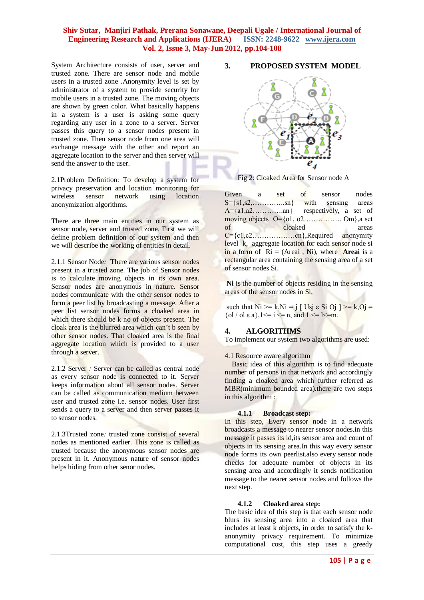System Architecture consists of user, server and trusted zone. There are sensor node and mobile users in a trusted zone .Anonymity level is set by administrator of a system to provide security for mobile users in a trusted zone. The moving objects are shown by green color. What basically happens in a system is a user is asking some query regarding any user in a zone to a server. Server passes this query to a sensor nodes present in trusted zone. Then sensor node from one area will exchange message with the other and report an aggregate location to the server and then server will send the answer to the user.

2.1Problem Definition: To develop a system for privacy preservation and location monitoring for wireless sensor network using location anonymization algorithms.

There are three main entities in our system as sensor node, server and trusted zone. First we will define problem definition of our system and then we will describe the working of entities in detail.

2.1.1 Sensor Node*:* There are various sensor nodes present in a trusted zone. The job of Sensor nodes is to calculate moving objects in its own area. Sensor nodes are anonymous in nature. Sensor nodes communicate with the other sensor nodes to form a peer list by broadcasting a message. After a peer list sensor nodes forms a cloaked area in which there should be k no of objects present. The cloak area is the blurred area which can't b seen by other sensor nodes. That cloaked area is the final aggregate location which is provided to a user through a server.

2.1.2 Server *:* Server can be called as central node as every sensor node is connected to it. Server keeps information about all sensor nodes. Server can be called as communication medium between user and trusted zone i.e. sensor nodes. User first sends a query to a server and then server passes it to sensor nodes.

2.1.3Trusted zone*:* trusted zone consist of several nodes as mentioned earlier. This zone is called as trusted because the anonymous sensor nodes are present in it. Anonymous nature of sensor nodes helps hiding from other senor nodes.

#### **3. PROPOSED SYSTEM MODEL**



Fig 2: Cloaked Area for Sensor node A

Given a set of sensor nodes  $S=\{s1, s2, \ldots, \ldots, \text{sn}\}\$  with sensing areas<br>A= $\{a1, a2, \ldots, \text{an}\}\$  respectively, a set of respectively, a set of moving objects O={o1, o2……………. Om},a set of cloaked areas  $C = \{c1, c2, \ldots, \ldots, cn\}$ , Required anonymity level k, aggregate location for each sensor node si in a form of  $\text{Ri} = (\text{Areai}, \text{Ni})$ , where **Areai** is a rectangular area containing the sensing area of a set of sensor nodes Si.

**Ni** is the number of objects residing in the sensing areas of the sensor nodes in Si,

such that  $Ni \ge k$ ,  $Ni = j$  [ Usj  $\epsilon$  Si Oj ]  $\ge k$ ,  $Oj =$ {ol / ol  $\varepsilon$  a},  $1 \le i \le n$ , and  $1 \le i \le m$ .

# **4. ALGORITHMS**

To implement our system two algorithms are used:

#### 4.1 Resource aware algorithm

 Basic idea of this algorithm is to find adequate number of persons in that network and accordingly finding a cloaked area which further referred as MBR(minimum bounded area).there are two steps in this algorithm :

#### **4.1.1 Broadcast step:**

In this step, Every sensor node in a network broadcasts a message to nearer sensor nodes.in this message it passes its id,its sensor area and count of objects in its sensing area.In this way every sensor node forms its own peerlist.also every sensor node checks for adequate number of objects in its sensing area and accordingly it sends notification message to the nearer sensor nodes and follows the next step.

#### **4.1.2 Cloaked area step:**

The basic idea of this step is that each sensor node blurs its sensing area into a cloaked area that includes at least k objects, in order to satisfy the kanonymity privacy requirement. To minimize computational cost, this step uses a greedy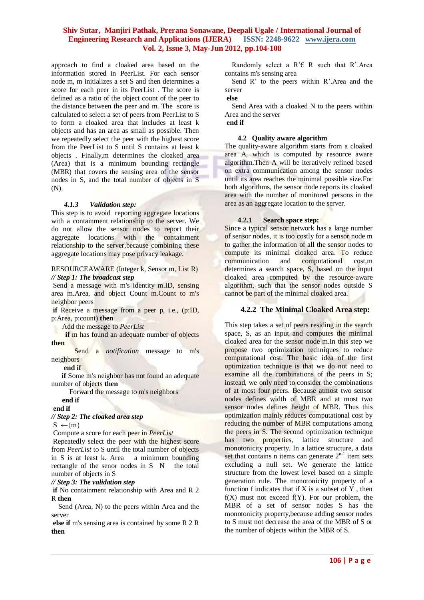approach to find a cloaked area based on the information stored in PeerList. For each sensor node m, m initializes a set S and then determines a score for each peer in its PeerList . The score is defined as a ratio of the object count of the peer to the distance between the peer and m. The score is calculated to select a set of peers from PeerList to S to form a cloaked area that includes at least k objects and has an area as small as possible. Then we repeatedly select the peer with the highest score from the PeerList to S until S contains at least k objects . Finally,m determines the cloaked area (Area) that is a minimum bounding rectangle (MBR) that covers the sensing area of the sensor nodes in S, and the total number of objects in S (N).

#### *4.1.3 Validation step:*

This step is to avoid reporting aggregate locations with a containment relationship to the server. We do not allow the sensor nodes to report their aggregate locations with the containment relationship to the server,because combining these aggregate locations may pose privacy leakage.

#### RESOURCEAWARE (Integer k, Sensor m, List R) *// Step 1: The broadcast step*

Send a message with m's identity m.ID, sensing area m.Area, and object Count m.Count to m's neighbor peers

**if** Receive a message from a peer p, i.e., (p:ID, p:Area, p:count) **then**

Add the message to *PeerList*

**if** m has found an adequate number of objects **then**

 Send a *notification* message to m's neighbors

#### **end if**

**if** Some m's neighbor has not found an adequate number of objects **then**

Forward the message to m's neighbors

# **end if**

# **end if**

*// Step 2: The cloaked area step*

 $S \leftarrow \{m\}$ 

Compute a score for each peer in *PeerList* Repeatedly select the peer with the highest score from *PeerList* to S until the total number of objects in S is at least k. Area a minimum bounding rectangle of the senor nodes in S N the total number of objects in S

#### *// Step 3: The validation step*

**if** No containment relationship with Area and R 2 R **then**

 Send (Area, N) to the peers within Area and the server

**else if** m's sensing area is contained by some R 2 R **then**

Randomly select a  $R \in R$  such that R'.Area contains m's sensing area

 Send R' to the peers within R'.Area and the server

**else**

 Send Area with a cloaked N to the peers within Area and the server

#### **end if**

#### **4.2 Quality aware algorithm**

The quality-aware algorithm starts from a cloaked area A, which is computed by resource aware algorithm.Then A will be iteratively refined based on extra communication among the sensor nodes until its area reaches the minimal possible size.For both algorithms, the sensor node reports its cloaked area with the number of monitored persons in the area as an aggregate location to the server.

#### **4.2.1 Search space step:**

Since a typical sensor network has a large number of sensor nodes, it is too costly for a sensor node m to gather the information of all the sensor nodes to compute its minimal cloaked area. To reduce<br>communication and computational cost,m communication and computational cost,m determines a search space, S, based on the input cloaked area computed by the resource-aware algorithm, such that the sensor nodes outside S cannot be part of the minimal cloaked area.

#### **4.2.2 The Minimal Cloaked Area step:**

This step takes a set of peers residing in the search space. S, as an input and computes the minimal cloaked area for the sensor node m.In this step we propose two optimization techniques to reduce computational cost. The basic idea of the first optimization technique is that we do not need to examine all the combinations of the peers in S; instead, we only need to consider the combinations of at most four peers. Because atmost two sensor nodes defines width of MBR and at most two sensor nodes defines height of MBR. Thus this optimization mainly reduces computational cost by reducing the number of MBR computations among the peers in S. The second optimization technique has two properties, lattice structure and monotonicity property. In a lattice structure, a data set that contains n items can generate  $2^{n-1}$  item sets excluding a null set. We generate the lattice structure from the lowest level based on a simple generation rule. The monotonicity property of a function f indicates that if  $X$  is a subset of  $Y$ , then  $f(X)$  must not exceed  $f(Y)$ . For our problem, the MBR of a set of sensor nodes S has the monotonicity property,because adding sensor nodes to S must not decrease the area of the MBR of S or the number of objects within the MBR of S.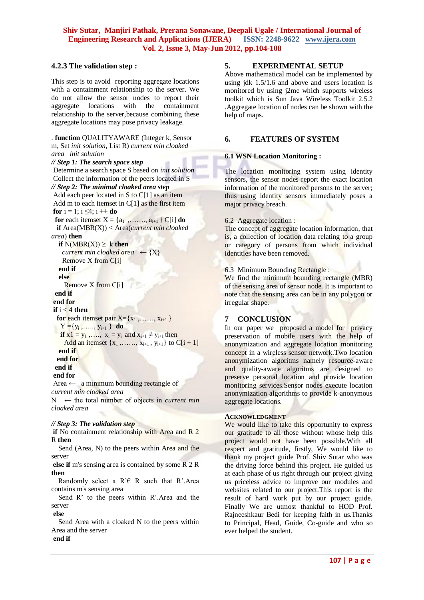# **4.2.3 The validation step :**

This step is to avoid reporting aggregate locations with a containment relationship to the server. We do not allow the sensor nodes to report their aggregate locations with the containment relationship to the server,because combining these aggregate locations may pose privacy leakage.

#### . **function** QUALITYAWARE (Integer k, Sensor m, Set *init solution*, List R) *current min cloaked area init solution // Step 1: The search space step* Determine a search space S based on *init solution* Collect the information of the peers located in S *// Step 2: The minimal cloaked area step* Add each peer located in S to C[1] as an item Add m to each itemset in C[1] as the first item **for**  $i = 1$ ;  $i \le 4$ ;  $i + 1$ **do for** each itemset  $X = \{a_1, \ldots, a_{i+1}\} C[i]$  **do if** Area(MBR(X)) < Area(*current min cloaked area*) **then if**  $N(MBR(X)) > k$  **then** *current min cloaked area*  $\leftarrow \{X\}$  Remove X from C[i] **end if else** Remove X from C[i] **end if end for**  $\mathbf{if}$   $i < 4$  **then for each itemset pair**  $X = \{x_1, \ldots, x_{i+1}\}\$  $Y = \{y_i, \ldots, y_{i+1}\}\$ **do if**  $x1 = y_1, \ldots, x_i = y_i$  and  $x_{i+1} \neq y_{i+1}$  then Add an itemset  $\{x_1, \ldots, x_{i+1}, y_{i+1}\}$  to  $C[i + 1]$ **end if**

 **end for end if**

**end for**

Area  $\leftarrow$  a minimum bounding rectangle of *current min cloaked area*  $N \leftarrow$  the total number of objects in *current min cloaked area*

#### *// Step 3: The validation step*

**if** No containment relationship with Area and R 2 R **then**

 Send (Area, N) to the peers within Area and the server

**else if** m's sensing area is contained by some R 2 R **then**

Randomly select a  $R \in R$  such that R'.Area contains m's sensing area

 Send R' to the peers within R'.Area and the server

**else**

 Send Area with a cloaked N to the peers within Area and the server **end if**

#### **5. EXPERIMENTAL SETUP**

Above mathematical model can be implemented by using jdk 1.5/1.6 and above and users location is monitored by using j2me which supports wireless toolkit which is Sun Java Wireless Toolkit 2.5.2 .Aggregate location of nodes can be shown with the help of maps.

# **6. FEATURES OF SYSTEM**

#### **6.1 WSN Location Monitoring :**

The location monitoring system using identity sensors, the sensor nodes report the exact location information of the monitored persons to the server; thus using identity sensors immediately poses a major privacy breach.

#### 6.2 Aggregate location :

The concept of aggregate location information, that is, a collection of location data relating to a group or category of persons from which individual identities have been removed.

6.3 Minimum Bounding Rectangle :

We find the minimum bounding rectangle (MBR) of the sensing area of sensor node. It is important to note that the sensing area can be in any polygon or irregular shape.

# **7 CONCLUSION**

In our paper we proposed a model for privacy preservation of mobile users with the help of anonymization and aggregate location monitoring concept in a wireless sensor network.Two location anonymization algoritms namely resource-aware and quality-aware algoritms are designed to preserve personal location and provide location monitoring services.Sensor nodes execute location anonymization algorithms to provide k-anonymous aggregate locations.

# **ACKNOWLEDGMENT**

We would like to take this opportunity to express our gratitude to all those without whose help this project would not have been possible.With all respect and gratitude, firstly, We would like to thank my project guide Prof. Shiv Sutar who was the driving force behind this project. He guided us at each phase of us right through our project giving us priceless advice to improve our modules and websites related to our project.This report is the result of hard work put by our project guide. Finally We are utmost thankful to HOD Prof. Rajneeshkaur Bedi for keeping faith in us.Thanks to Principal, Head, Guide, Co-guide and who so ever helped the student.